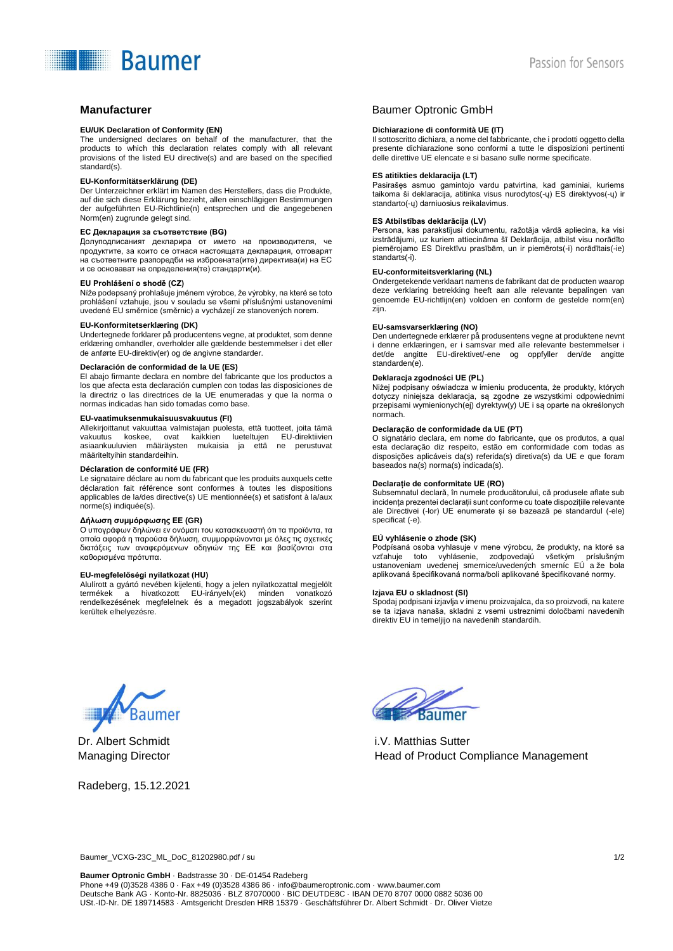# **Baumer**

#### **EU/UK Declaration of Conformity (EN)**

The undersigned declares on behalf of the manufacturer, that the products to which this declaration relates comply with all relevant provisions of the listed EU directive(s) and are based on the specified standard(s).

#### **EU-Konformitätserklärung (DE)**

Der Unterzeichner erklärt im Namen des Herstellers, dass die Produkte, auf die sich diese Erklärung bezieht, allen einschlägigen Bestimmungen der aufgeführten EU-Richtlinie(n) entsprechen und die angegebenen Norm(en) zugrunde gelegt sind.

#### **ЕС Декларация за съответствие (BG)**

Долуподписаният декларира от името на производителя, че продуктите, за които се отнася настоящата декларация, отговарят на съответните разпоредби на изброената(ите) директива(и) на ЕС и се основават на определения(те) стандарти(и).

#### **EU Prohlášení o shodě (CZ)**

Níže podepsaný prohlašuje jménem výrobce, že výrobky, na které se toto prohlášení vztahuje, jsou v souladu se všemi příslušnými ustanoveními uvedené EU směrnice (směrnic) a vycházejí ze stanovených norem.

### **EU-Konformitetserklæring (DK)**

Undertegnede forklarer på producentens vegne, at produktet, som denne erklæring omhandler, overholder alle gældende bestemmelser i det eller de anførte EU-direktiv(er) og de angivne standarder.

#### **Declaración de conformidad de la UE (ES)**

El abajo firmante declara en nombre del fabricante que los productos a los que afecta esta declaración cumplen con todas las disposiciones de la directriz o las directrices de la UE enumeradas y que la norma o normas indicadas han sido tomadas como base.

#### **EU-vaatimuksenmukaisuusvakuutus (FI)**

Allekirjoittanut vakuuttaa valmistajan puolesta, että tuotteet, joita tämä vakuutus koskee, ovat kaikkien lueteltujen EU-direktiivien asiaankuuluvien määräysten mukaisia ja että ne perustuvat määriteltyihin standardeihin.

#### **Déclaration de conformité UE (FR)**

Le signataire déclare au nom du fabricant que les produits auxquels cette déclaration fait référence sont conformes à toutes les dispositions applicables de la/des directive(s) UE mentionnée(s) et satisfont à la/aux norme(s) indiquée(s).

#### **Δήλωση συμμόρφωσης ΕΕ (GR)**

Ο υπογράφων δηλώνει εν ονόματι του κατασκευαστή ότι τα προϊόντα, τα οποία αφορά η παρούσα δήλωση, συμμορφώνονται με όλες τις σχετικές διατάξεις των αναφερόμενων οδηγιών της ΕΕ και βασίζονται στα καθορισμένα πρότυπα.

#### **EU-megfelelőségi nyilatkozat (HU)**

Alulírott a gyártó nevében kijelenti, hogy a jelen nyilatkozattal megjelölt termékek a hivatkozott EU-irányelv(ek) minden vonatkozó rendelkezésének megfelelnek és a megadott jogszabályok szerint kerültek elhelyezésre.

## **Manufacturer Combine Combine Combine Combine Combine Combine Combine Combine Combine Combine Combine Combine Combine Combine Combine Combine Combine Combine Combine Combine Combine Combine Combine Combine Combine Combine**

#### **Dichiarazione di conformità UE (IT)**

Il sottoscritto dichiara, a nome del fabbricante, che i prodotti oggetto della presente dichiarazione sono conformi a tutte le disposizioni pertinenti delle direttive UE elencate e si basano sulle norme specificate.

#### **ES atitikties deklaracija (LT)**

Pasirašęs asmuo gamintojo vardu patvirtina, kad gaminiai, kuriems taikoma ši deklaracija, atitinka visus nurodytos(-ų) ES direktyvos(-ų) ir standarto(-ų) darniuosius reikalavimus.

#### **ES Atbilstības deklarācija (LV)**

Persona, kas parakstījusi dokumentu, ražotāja vārdā apliecina, ka visi izstrādājumi, uz kuriem attiecināma šī Deklarācija, atbilst visu norādīto piemērojamo ES Direktīvu prasībām, un ir piemērots(-i) norādītais(-ie) standarts(-i).

#### **EU-conformiteitsverklaring (NL)**

Ondergetekende verklaart namens de fabrikant dat de producten waarop deze verklaring betrekking heeft aan alle relevante bepalingen van genoemde EU-richtlijn(en) voldoen en conform de gestelde norm(en) zijn.

#### **EU-samsvarserklæring (NO)**

Den undertegnede erklærer på produsentens vegne at produktene nevnt i denne erklæringen, er i samsvar med alle relevante bestemmelser i det/de angitte EU-direktivet/-ene og oppfyller den/de angitte standarden(e).

#### **Deklaracja zgodności UE (PL)**

Niżej podpisany oświadcza w imieniu producenta, że produkty, których dotyczy niniejsza deklaracja, są zgodne ze wszystkimi odpowiednimi przepisami wymienionych(ej) dyrektyw(y) UE i są oparte na określonych normach.

#### **Declaração de conformidade da UE (PT)**

O signatário declara, em nome do fabricante, que os produtos, a qual esta declaração diz respeito, estão em conformidade com todas as disposições aplicáveis da(s) referida(s) diretiva(s) da UE e que foram baseados na(s) norma(s) indicada(s).

#### **Declarație de conformitate UE (RO)**

Subsemnatul declară, în numele producătorului, că produsele aflate sub incidența prezentei declarații sunt conforme cu toate dispozițiile relevante ale Directivei (-lor) UE enumerate și se bazează pe standardul (-ele) specificat (-e).

#### **EÚ vyhlásenie o zhode (SK)**

Podpísaná osoba vyhlasuje v mene výrobcu, že produkty, na ktoré sa vzťahuje toto vyhlásenie, zodpovedajú všetkým príslušným ustanoveniam uvedenej smernice/uvedených smerníc EÚ a že bola aplikovaná špecifikovaná norma/boli aplikované špecifikované normy.

#### **Izjava EU o skladnost (SI)**

Spodaj podpisani izjavlja v imenu proizvajalca, da so proizvodi, na katere se ta izjava nanaša, skladni z vsemi ustreznimi določbami navedenih direktiv EU in temeljijo na navedenih standardih.



Dr. Albert Schmidt Managing Director

Radeberg, 15.12.2021



i.V. Matthias Sutter Head of Product Compliance Management

Baumer\_VCXG-23C\_ML\_DoC\_81202980.pdf / su 1/2

**Baumer Optronic GmbH** · Badstrasse 30 · DE-01454 Radeberg Phone +49 (0)3528 4386 0 · Fax +49 (0)3528 4386 86 [· info@baumeroptronic.com](mailto:info@baumeroptronic.com) [· www.baumer.com](http://www.baumer.com/) Deutsche Bank AG · Konto-Nr. 8825036 · BLZ 87070000 · BIC DEUTDE8C · IBAN DE70 8707 0000 0882 5036 00 USt.-ID-Nr. DE 189714583 · Amtsgericht Dresden HRB 15379 · Geschäftsführer Dr. Albert Schmidt · Dr. Oliver Vietze